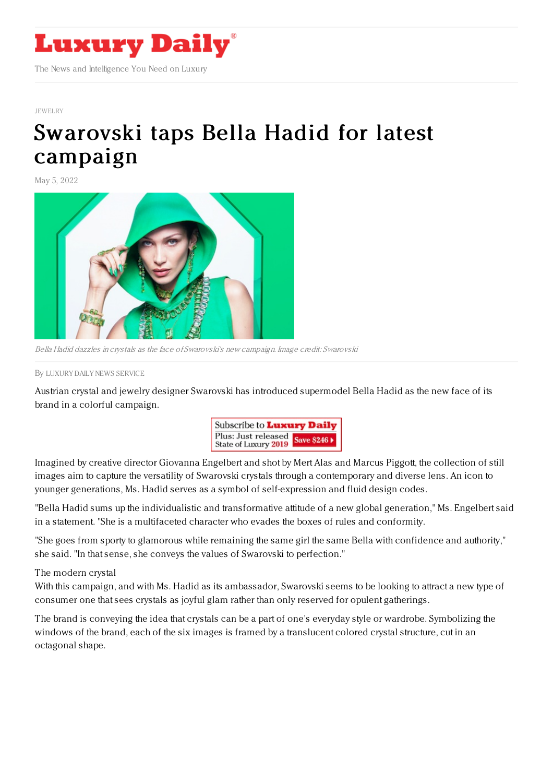

## [JEWELRY](https://www.luxurydaily.com/category/sectors/jewelry/)

## [Swarovski](https://www.luxurydaily.com/swarovski-taps-bella-hadid-for-latest-campaign/) taps Bella Hadid for latest campaign

May 5, 2022



Bella Hadid dazzles in crystals as the face of Swarovski's new campaign. Image credit: Swarovski

By LUXURY DAILY NEWS [SERVICE](file:///author/luxury-daily-news-service)

Austrian crystal and jewelry designer Swarovski has introduced supermodel Bella Hadid as the new face of its brand in a colorful campaign.



Imagined by creative director Giovanna Engelbert and shot by Mert Alas and Marcus Piggott, the collection of still images aim to capture the versatility of Swarovski crystals through a contemporary and diverse lens. An icon to younger generations, Ms. Hadid serves as a symbol of self-expression and fluid design codes.

"Bella Hadid sums up the individualistic and transformative attitude of a new global generation," Ms. Engelbert said in a statement. "She is a multifaceted character who evades the boxes of rules and conformity.

"She goes from sporty to glamorous while remaining the same girl the same Bella with confidence and authority," she said. "In that sense, she conveys the values of Swarovski to perfection."

The modern crystal

With this campaign, and with Ms. Hadid as its ambassador, Swarovski seems to be looking to attract a new type of consumer one that sees crystals as joyful glam rather than only reserved for opulent gatherings.

The brand is conveying the idea that crystals can be a part of one's everyday style or wardrobe. Symbolizing the windows of the brand, each of the six images is framed by a translucent colored crystal structure, cut in an octagonal shape.